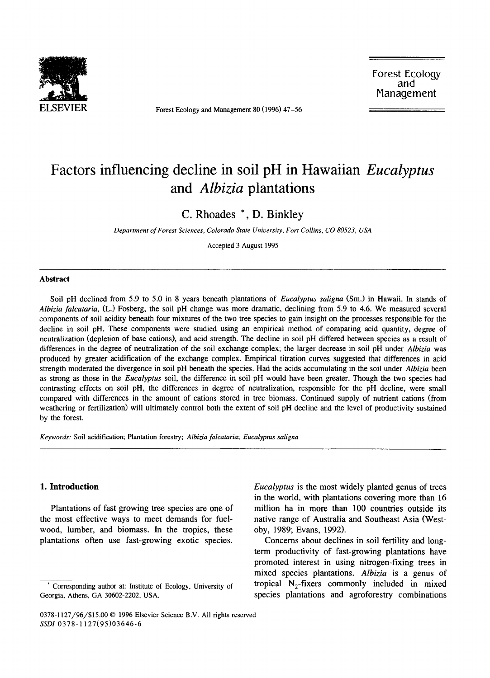

Forest Ecology and Management 80 (1996) 47-56

Forest Ecology and Management

# Factors influencing decline in soil pH in Hawaiian *Eucalyptus*  and *Albizia* plantations

C. Rhoades \*, D. Binkley

*Department of Forest Sciences, Colorado State University, Fort Collins, CO 80523, USA* 

Accepted 3 August 1995

#### Abstract

Soil pH declined from 5.9 to 5.0 in 8 years beneath plantations of *Eucalyptus saligna* (Sm.) in Hawaii. In stands of *Albizia falcataria,* (L.) Fosberg, the soil pH change was more dramatic, declining from 5.9 to 4.6. We measured several components of soil acidity beneath four mixtures of the two tree species to gain insight on the processes responsible for the decline in soil pH. These components were studied using an empirical method of comparing acid quantity, degree of neutralization (depletion of base cations), and acid strength. The decline in soil pH differed between species as a result of differences in the degree of neutralization of the soil exchange complex; the larger decrease in soil pH under *Albizia* was produced by greater acidification of the exchange complex. Empirical titration curves suggested that differences in acid strength moderated the divergence in soil pH beneath the species. Had the acids accumulating in the soil under *Albizia* been as strong as those in the *Eucalyptus* soil, the difference in soil pH would have been greater. Though the two species had contrasting effects on soil pH, the differences in degree of neutralization, responsible for the pH decline, were small compared with differences in the amount of cations stored in tree biomass. Continued supply of nutrient cations (from weathering or fertilization) will ultimately control both the extent of soil pH decline and the level of productivity sustained by the forest.

*Keywords:* Soil acidification; Plantation forestry; *Albizia falcataria; Eucalyptus saligna* 

#### 1. Introduction

Plantations of fast growing tree species are one of the most effective ways to meet demands for fuelwood, lumber, and biomass. In the tropics, these plantations often use fast-growing exotic species. *Eucalyptus* is the most widely planted genus of trees in the world, with plantations covering more than 16 million ha in more than 100 countries outside its native range of Australia and Southeast Asia (Westoby, 1989; Evans, 1992).

Concerns about declines in soil fertility and longterm productivity of fast-growing plantations have promoted interest in using nitrogen-fixing trees in mixed species plantations. *Albizia* is a genus of tropical  $N_2$ -fixers commonly included in mixed species plantations and agroforestry combinations

<sup>•</sup> Corresponding author at: Institute of Ecology, University of Georgia. Athens, GA 30602-2202, USA.

<sup>0378-1127/96/\$15.00 © 1996</sup> Elsevier Science B.V. All rights reserved *SSDI* 0378-1127(95)03646-6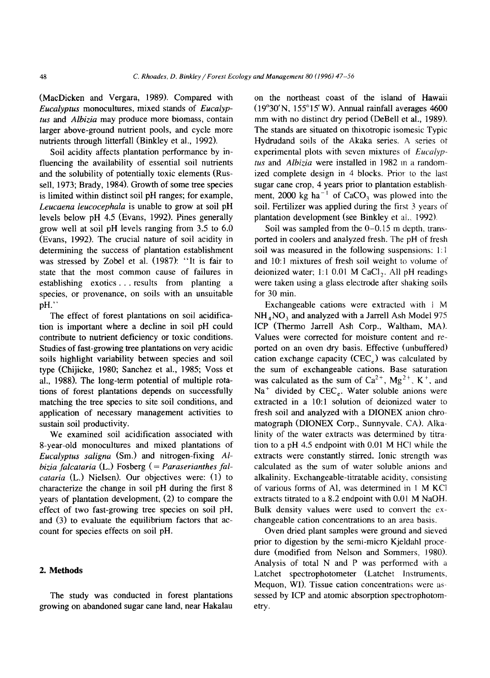(MacDicken and Vergara, 1989). Compared with *Eucalyptus* monocultures, mixed stands of *Eucalyptus* and *Albizia* may produce more biomass, contain larger above-ground nutrient pools, and cycle more nutrients through litterfall (Binkley et al., 1992).

Soil acidity affects plantation performance by influencing the availability of essential soil nutrients and the solubility of potentially toxic elements (Russell, 1973; Brady, 1984). Growth of some tree species is limited within distinct soil pH ranges; for example, *Leucaena leucocephala* is unable to grow at soil pH levels below pH 4.5 (Evans, 1992). Pines generally grow well at soil pH levels ranging from 3.5 to 6.0 (Evans, 1992). The crucial nature of soil acidity in determining the success of plantation establishment was stressed by Zobel et al. (1987): "It is fair to state that the most common cause of failures in establishing exotics ... results from planting a species, or provenance, on soils with an unsuitable pH.''

The effect of forest plantations on soil acidification is important where a decline in soil pH could contribute to nutrient deficiency or toxic conditions. Studies of fast-growing tree plantations on very acidic soils highlight variability between species and soil type (Chijicke, 1980; Sanchez et al., 1985; Voss et al., 1988). The long-term potential of multiple rotations of forest plantations depends on successfully matching the tree species to site soil conditions, and application of necessary management activities to sustain soil productivity.

We examined soil acidification associated with 8-year-old monocultures and mixed plantations of *Eucalyptus saligna* (Sm.) and nitrogen-fixing *Albizia falcataria* (L.) Fosberg ( = *Paraserianthes falcataria* (L.) Nielsen). Our objectives were: (1) to characterize the change in soil pH during the first 8 years of plantation development, (2) to compare the effect of two fast-growing tree species on soil pH, and (3) to evaluate the equilibrium factors that account for species effects on soil pH.

#### **2. Methods**

The study was conducted in forest plantations growing on abandoned sugar cane land, near Hakalau on the northeast coast of the island of Hawaii  $(19°30'N, 155°15'W)$ . Annual rainfall averages 4600 mm with no distinct dry period (DeBell et al., 1989). The stands are situated on thixotropic isomesic Typic Hydrudand soils of the Akaka series. A series ot experimental plots with seven mixtures of *Eucalyp·· tus* and *Albizia* were installed in 1982 m a random-· ized complete design in 4 blocks. Prior to the last sugar cane crop, 4 years prior to plantation establishment, 2000 kg ha<sup>-1</sup> of CaCO<sub>3</sub> was plowed into the soil. Fertilizer was applied during the first 3 years of plantation development (see Binkley et al.. 1992 ).

Soil was sampled from the  $0-0.15$  m depth, transported in coolers and analyzed fresh. The pH of fresh soil was measured in the following suspensions: 1:1 and 10:1 mixtures of fresh soil weight to volume of deionized water; 1:1 0.01 M CaCl<sub>2</sub>. All pH readings were taken using a glass electrode after shaking soils for 30 min.

Exchangeable cations were extracted with i M  $NH<sub>4</sub>NO<sub>3</sub>$  and analyzed with a Jarrell Ash Model 975 ICP (Thermo Jarrell Ash Corp., Waltham, MA}. Values were corrected for moisture content and reported on an oven dry basis. Effective (unbuffered) cation exchange capacity (CEC<sub>e</sub>) was calculated by the sum of exchangeable cations. Base saturation was calculated as the sum of  $Ca^{2+}$ ,  $Mg^{2+}$ , K<sup>+</sup>, and  $Na<sup>+</sup>$  divided by CEC<sub>e</sub>. Water soluble anions were extracted in a 10:1 solution of deionized water to fresh soil and analyzed with a DIONEX anion chromatograph (DIONEX Corp., Sunnyvale, CA). Alkalinity of the water extracts was determined by titration to a pH 4.5 endpoint with O.Ql M HC! while the extracts were constantly stirred. Ionic strength was calculated as the sum of water soluble anions and alkalinity. Exchangeable-titratable acidity. consisting of various forms of Al, was determined in 1 M KCI extracts titrated to a 8.2 endpoint with 0.01 M NaOH. Bulk density values were used to convert the exchangeable cation concentrations to an area basis.

Oven dried plant samples were ground and sieved prior to digestion by the semi-micro Kjeldahl proce· dure (modified from Nelson and Sommers, 1980). Analysis of total N and P was performed with a Latchet spectrophotometer (Latchet Instruments, Mequon, WI). Tissue cation concentrations were assessed by ICP and atomic absorption spectrophotometry.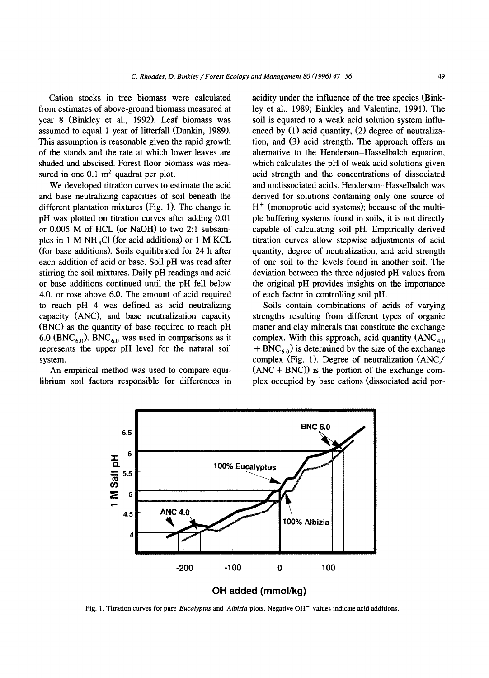Cation stocks in tree biomass were calculated from estimates of above-ground biomass measured at year 8 (Binkley et al., 1992). Leaf biomass was assumed to equal 1 year of litterfall (Dunkin, 1989). This assumption is reasonable given the rapid growth of the stands and the rate at which lower leaves are shaded and abscised. Forest floor biomass was measured in one  $0.1 \text{ m}^2$  quadrat per plot.

We developed titration curves to estimate the acid and base neutralizing capacities of soil beneath the different plantation mixtures (Fig. 1). The change in pH was plotted on titration curves after adding 0.01 or 0.005 M of HCL (or NaOH) to two 2: 1 subsamples in 1 M NH<sub>4</sub>Cl (for acid additions) or 1 M KCL (for base additions). Soils equilibrated for 24 h after each addition of acid or base. Soil pH was read after stirring the soil mixtures. Daily pH readings and acid or base additions continued until the pH fell below 4.0, or rose above 6.0. The amount of acid required to reach pH 4 was defined as acid neutralizing capacity (ANC), and base neutralization capacity (BNC) as the quantity of base required to reach pH 6.0 (BNC<sub>6.0</sub>). BNC<sub>6.0</sub> was used in comparisons as it represents the upper pH level for the natural soil system.

An empirical method was used to compare equilibrium soil factors responsible for differences in acidity under the influence of the tree species (Binkley et al., 1989; Binkley and Valentine, 1991). The soil is equated to a weak acid solution system influenced by (1) acid quantity, (2) degree of neutralization, and (3) acid strength. The approach offers an alternative to the Henderson-Hasselbalch equation, which calculates the pH of weak acid solutions given acid strength and the concentrations of dissociated and undissociated acids. Henderson-Hasselbalch was derived for solutions containing only one source of  $H^+$  (monoprotic acid systems); because of the multiple buffering systems found in soils, it is not directly capable of calculating soil pH. Empirically derived titration curves allow stepwise adjustments of acid quantity, degree of neutralization, and acid strength of one soil to the levels found in another soil. The deviation between the three adjusted pH values from the original pH provides insights on the importance of each factor in controlling soil pH.

Soils contain combinations of acids of varying strengths resulting from different types of organic matter and clay minerals that constitute the exchange complex. With this approach, acid quantity  $(ANC<sub>4.0</sub>)$  $+ BNC_{6,0}$ ) is determined by the size of the exchange complex (Fig. 1). Degree of neutralization (ANC/  $(ANC + BNC)$ ) is the portion of the exchange complex occupied by base cations (dissociated acid por-



Fig. 1. Titration curves for pure *Eucalyptus* and *Albizia* plots. Negative OH- values indicate acid additions.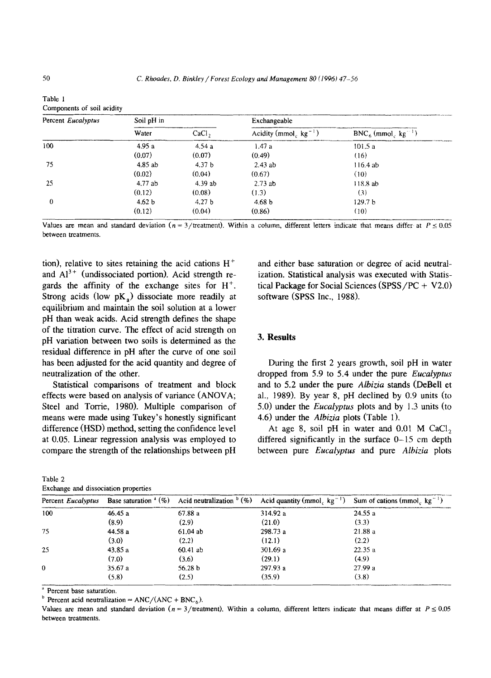| Percent Eucalyptus | Soil pH in |                   | Exchangeable                           |                                 |  |  |
|--------------------|------------|-------------------|----------------------------------------|---------------------------------|--|--|
|                    | Water      | CaCl <sub>2</sub> | Acidity (mmol <sub>c</sub> $kg^{-1}$ ) | $BNC6$ (mmol kg <sup>-1</sup> ) |  |  |
| 100                | 4.95a      | 4.54a             | 1.47a                                  | 101.5a                          |  |  |
|                    | (0.07)     | (0.07)            | (0.49)                                 | (16)                            |  |  |
| 75                 | 4.85 ab    | 4.37 <sub>b</sub> | $2.43$ ab                              | $116.4$ ab                      |  |  |
|                    | (0.02)     | (0.04)            | (0.67)                                 | (10)                            |  |  |
| 25                 | 4.77 ab    | 4.39ab            | 2.73ab                                 | 118.8ab                         |  |  |
|                    | (0.12)     | (0.08)            | (1.3)                                  | (3)                             |  |  |
| $\mathbf{0}$       | 4.62 b     | 4.27 <sub>b</sub> | 4.68 <sub>b</sub>                      | 129.7 <sub>b</sub>              |  |  |
|                    | (0.12)     | (0.04)            | (0.86)                                 | (10)                            |  |  |

| . | . | .                                                                                                                                           | . |
|---|---|---------------------------------------------------------------------------------------------------------------------------------------------|---|
|   |   |                                                                                                                                             |   |
|   |   | Values are mean and standard deviation ( $n = 3$ /treatment). Within a column, different letters indicate that means differ at $P \le 0.05$ |   |

tion), relative to sites retaining the acid cations  $H^+$ and  $Al^{3+}$  (undissociated portion). Acid strength regards the affinity of the exchange sites for  $H^+$ . Strong acids (low  $pK<sub>a</sub>$ ) dissociate more readily at equilibrium and maintain the soil solution at a lower pH than weak acids. Acid strength defines the shape of the titration curve. The effect of acid strength on pH variation between two soils is determined as the residual difference in pH after the curve of one soil has been adjusted for the acid quantity and degree of neutralization of the other.

Statistical comparisons of treatment and block effects were based on analysis of variance (ANOVA; Steel and Torrie, 1980). Multiple comparison of means were made using Tukey's honestly significant difference (HSD) method, setting the confidence level at 0.05. Linear regression analysis was employed to compare the strength of the relationships between pH

| Table 2 |                                      |  |
|---------|--------------------------------------|--|
|         | Exchange and dissociation properties |  |

and either base saturation or degree of acid neutralization. Statistical analysis was executed with Statistical Package for Social Sciences (SPSS/PC +  $V2.0$ ) software (SPSS Inc., 1988).

### 3. **Results**

During the first 2 years growth, soil pH in water dropped from 5.9 to 5.4 under the pure *Eucalyptus*  and to 5.2 under the pure *Albizia* stands (DeBell et al., 1989). By year 8, pH declined by 0:9 units (to 5.0) under the *Eucalyptus* plots and by 1.3 units (to 4.6) under the *Albizia* plots (Table 1).

At age 8, soil pH in water and  $0.01$  M CaCl<sub>2</sub> differed significantly in the surface 0-15 cm depth between pure *Eucalyptus* and pure *Albizia* plots

| Percent Eucalyptus |         |            |          | Base saturation " (%) Acid neutralization $b(\%)$ Acid quantity (mmol <sub>c</sub> kg <sup>-1</sup> ) Sum of cations (mmol <sub>c</sub> kg <sup>-1</sup> ) |
|--------------------|---------|------------|----------|------------------------------------------------------------------------------------------------------------------------------------------------------------|
| 100                | 46.45a  | 67.88 a    | 314.92 a | 24.55 a                                                                                                                                                    |
|                    | (8.9)   | (2.9)      | (21.0)   | (3.3)                                                                                                                                                      |
| 75                 | 44.58 a | 61.04ab    | 298.73 a | 21.88 a                                                                                                                                                    |
|                    | (3.0)   | (2.2)      | (12.1)   | (2.2)                                                                                                                                                      |
| 25                 | 43.85 a | $60.41$ ab | 301.69 a | 22.35a                                                                                                                                                     |
|                    | (7.0)   | (3.6)      | (29.1)   | (4.9)                                                                                                                                                      |
| $\Omega$           | 35.67a  | 56.28 b    | 297.93 a | 27.99a                                                                                                                                                     |
|                    | (5.8)   | (2.5)      | (35.9)   | (3.8)                                                                                                                                                      |

<sup>a</sup> Percent base saturation.

<sup>b</sup> Percent acid neutralization = ANC/(ANC + BNC<sub>6</sub>).

Values are mean and standard deviation ( $n = 3$ /treatment). Within a column, different letters indicate that means differ at  $P \le 0.05$ between treatments.

Table I

Components of soil acidity

between treatments.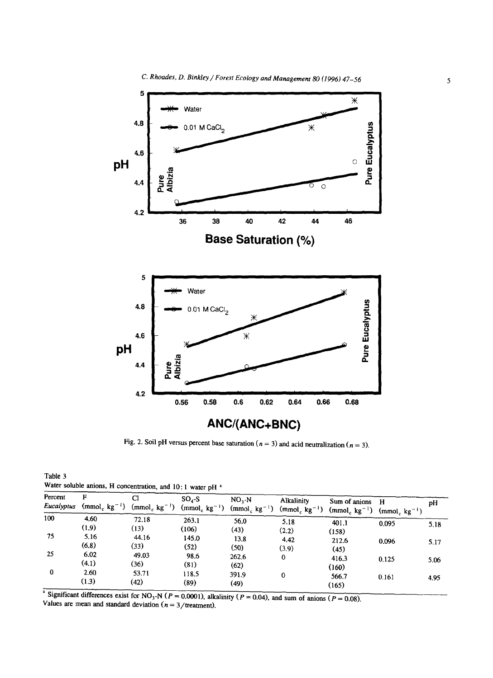

Fig. 2. Soil pH versus percent base saturation ( $n = 3$ ) and acid neutralization ( $n = 3$ ).

Table 3 Water soluble anions, H concentration, and 10:1 water pH<sup>a</sup>

| Percent<br>Eucalyptus | F<br>$(mmol, kg^{-1})$ | C1<br>$(mmol_c kg^{-1})$ | $SO4-S$<br>$(mmol_c kg^{-1})$ | NO, N<br>$(mmol_c kg^{-1})$ | Alkalinity    | Sum of anions<br>(mmol <sub>c</sub> kg <sup>-1</sup> ) (mmol <sub>c</sub> kg <sup>-1</sup> ) (mmol <sub>c</sub> kg <sup>-1</sup> ) | - н   | рH   |
|-----------------------|------------------------|--------------------------|-------------------------------|-----------------------------|---------------|------------------------------------------------------------------------------------------------------------------------------------|-------|------|
| 100                   | 4.60<br>(1.9)          | 72.18<br>(13)            | 263.1<br>(106)                | 56.0<br>(43)                | 5.18<br>(2.2) | 401.1<br>(158)                                                                                                                     | 0.095 | 5.18 |
| 75                    | 5.16<br>(6.8)          | 44.16<br>(33)            | 145.0<br>(52)                 | 13.8<br>(50)                | 4.42<br>(3.9) | 212.6<br>(45)                                                                                                                      | 0.096 | 5.17 |
| 25                    | 6.02<br>(4.1)          | 49.03<br>(36)            | 98.6<br>(81)                  | 262.6<br>(62)               | 0             | 416.3<br>(160)                                                                                                                     | 0.125 | 5.06 |
| 0                     | 2.60<br>(1.3)          | 53.71<br>(42)            | 118.5<br>(89)                 | 391.9<br>(49)               | 0             | 566.7<br>(165)                                                                                                                     | 0.161 | 4.95 |

<sup>a</sup> Significant differences exist for NO<sub>3</sub>-N ( $P = 0.0001$ ), alkalinity ( $P = 0.04$ ), and sum of anions ( $P = 0.08$ ). Values are mean and standard deviation  $(n = 3/\text{treatment})$ .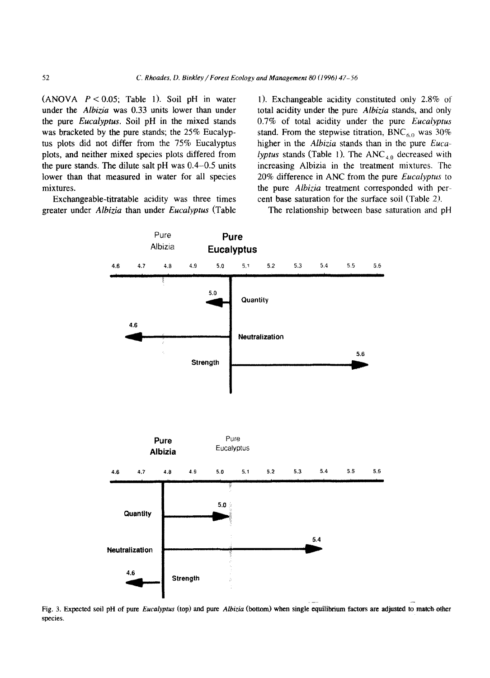(ANOVA  $P < 0.05$ ; Table 1). Soil pH in water under the *Albizia* was 0.33 units lower than under the pure *Eucalyptus.* Soil pH in the mixed stands was bracketed by the pure stands; the 25% Eucalyptus plots did not differ from the 75% Eucalyptus plots, and neither mixed species plots differed from the pure stands. The dilute salt pH was  $0.4-0.5$  units lower than that measured in water for all species mixtures.

Exchangeable-titratable acidity was three times greater under *Albizia* than under *Eucalyptus* (Table

1). Exchangeable acidity constituted only 2.8% of total acidity under the pure *Albizia* stands, and only 0.7% of total acidity under the pure *Eucalyptus*  stand. From the stepwise titration, BNC<sub>6.0</sub> was 30% higher in the *Albizia* stands than in the pure *Eucalyptus* stands (Table 1). The  $ANC_{4,0}$  decreased with increasing Albizia in the treatment mixtures. The 20% difference in ANC from the pure *Eucalyptus* to the pure *Albizia* treatment corresponded with percent base saturation for the surface soil (Table 2).

The relationship between base saturation and pH



Fig. 3. Expected soil pH of pure *Eucalyptus* (top) and pure *Albizia* (bottom) when single equilibrium factors are adjusted to match other species.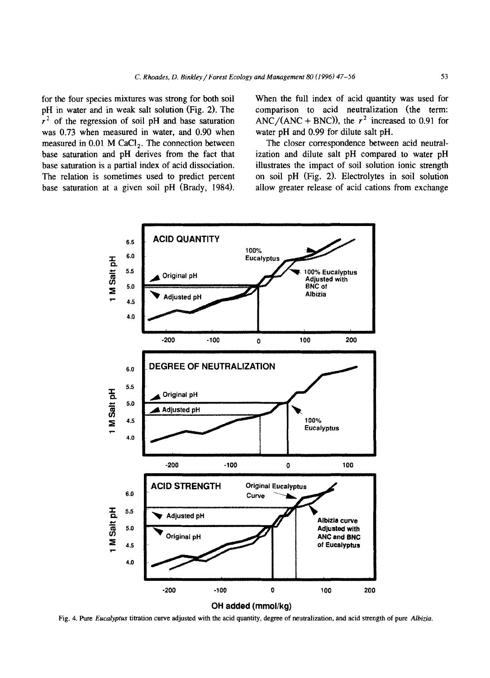for the four species mixtures was strong for both soil pH in water and in weak salt solution (Fig. 2). The  $r<sup>2</sup>$  of the regression of soil pH and base saturation was 0.73 when measured in water, and 0.90 when measured in  $0.01$  M CaCl<sub>2</sub>. The connection between base saturation and pH derives from the fact that base saturation is a partial index of acid dissociation. The relation is sometimes used to predict percent base saturation at a given soil pH (Brady, 1984).

When the full index of acid quantity was used for comparison to acid neutralization (the term: ANC/(ANC + BNC)), the  $r^2$  increased to 0.91 for water pH and 0.99 for dilute salt pH.

The closer correspondence between acid neutralization and dilute salt pH compared to water pH illustrates the impact of soil solution ionic strength on soil pH (Fig. 2). Electrolytes in soil solution allow greater release of acid cations from exchange



Fig. 4. Pure *Eucalyptus* titration curve adjusted with the acid quantity, degree of neutralization, and acid strength of pure *Albizia.*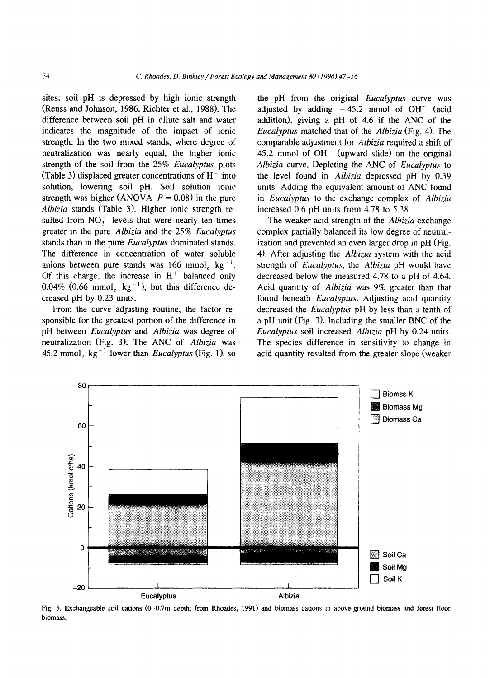sites; soil pH is depressed by high ionic strength (Reuss and Johnson, 1986; Richter et al., 1988). The difference between soil pH in dilute salt and water indicates the magnitude of the impact of ionic strength. In the two mixed stands, where degree of neutralization was nearly equal, the higher ionic strength of the soil from the 25% *Eucalyptus* plots (Table 3) displaced greater concentrations of  $H^+$  into solution, lowering soil pH. Soil solution ionic strength was higher (ANOVA  $P = 0.08$ ) in the pure *Albizia* stands (Table 3). Higher ionic strength resulted from  $NO<sub>3</sub><sup>-</sup>$  levels that were nearly ten times greater in the pure *Albizia* and the 25% *Eucalyptus*  stands than in the pure *Eucalyptus* dominated stands. The difference in concentration of water soluble anions between pure stands was  $166 \text{ mmol}_c \text{ kg}^{-1}$ . Of this charge, the increase in  $H<sup>+</sup>$  balanced only 0.04% (0.66 mmol<sub>c</sub> kg<sup>-1</sup>), but this difference decreased pH by 0.23 units.

From the curve adjusting routine, the factor responsible for the greatest portion of the difference in pH between *Eucalyptus* and *Albizia* was degree of neutralization (Fig. 3). The ANC of *Albizia* was 45.2 mmol<sub>c</sub> kg<sup> $-1$ </sup> lower than *Eucalyptus* (Fig. 1), so the pH from the original *Eucalyptus* curve was adjusted by adding  $-45.2$  mmol of OH<sup>-</sup> (acid addition), giving a pH of 4.6 if the ANC of the *Eucalyptus* matched that of the *Albizia* (Fig. 4). The comparable adjustment for *Albizia* required a shift of 45.2 mmol of  $OH^-$  (upward slide) on the original *Albizia* curve. Depleting the ANC of *Eucalyptus* to the level found in *Albizia* depressed pH by 0.39 units. Adding the equivalent amount of ANC found in *Eucalyptus* to the exchange complex of *Albizia* increased 0.6 pH units from 4.78 to 5.38.

The weaker acid strength of the *Albizia* exchange complex partially balanced its low degree of neutralization and prevented an even larger drop in pH (Fig. 4). After adjusting the *Albizia* system with the acid strength of *Eucalyptus,* the *Albizia* pH would have decreased below the measured 4.78 to a pH of 4.64. Acid quantity of *Albizia* was 9% greater than that found beneath *Eucalyptus.* Adjusting acid quantity decreased the *Eucalyptus* pH by less than a tenth of a pH unit (Fig. 3). Including the smaller BNC of the *Eucalyptus* soil increased *Albizia* pH by 0.24 units. The species difference in sensitivity to change in acid quantity resulted from the greater slope (weaker



Fig. 5. Exchangeable soil cations (0-0.7m depth; from Rhoades, 1991) and biomass cations in above-ground biomass and forest floor biomass.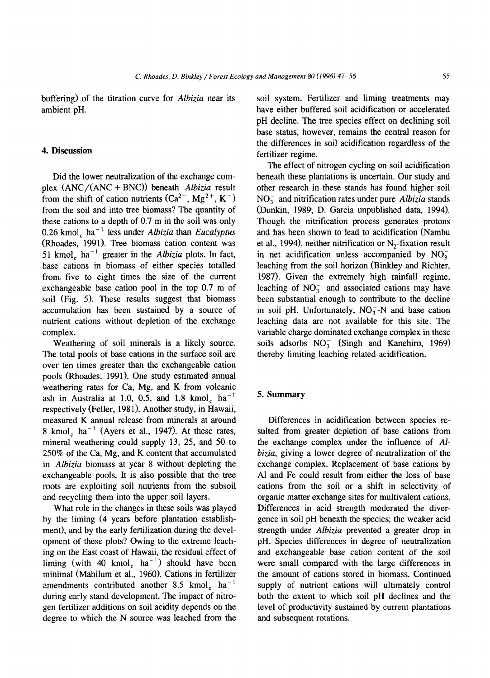buffering) of the titration curve for *Albizia* near its ambient pH.

# **4. Discussion**

Did the lower neutralization of the exchange complex (ANC/(ANC + BNC)) beneath *Albizia* result from the shift of cation nutrients  $(Ca^{2+}, Mg^{2+}, K^+)$ from the soil and into tree biomass? The quantity of these cations to a depth of 0.7 m in the soil was only 0.26 kmol<sub>c</sub> ha<sup>-1</sup> less under *Albizia* than *Eucalyptus* (Rhoades, 1991). Tree biomass cation content was 51 kmol<sub>c</sub> ha<sup> $-1$ </sup> greater in the *Albizia* plots. In fact, base cations in biomass of either species totalled from. five to eight times the size of the current exchangeable base cation pool in the top 0.7 m of soil (Fig. 5). These results suggest that biomass accumulation has been sustained by a source of nutrient cations without depletion of the exchange complex.

Weathering of soil minerals is a likely source. The total pools of base cations in the surface soil are over ten times greater than the exchangeable cation pools (Rhoades, 1991). One study estimated annual weathering rates for Ca, Mg, and K from volcanic ash in Australia at 1.0, 0.5, and 1.8 kmol<sub>c</sub> ha<sup>-1</sup> respectively (Feller, 1981). Another study, in Hawaii, measured K annual release from minerals at around 8 kmol<sub>c</sub> ha<sup> $-1$ </sup> (Ayers et al., 1947). At these rates, mineral weathering could supply 13, 25, and 50 to 250% of the Ca, Mg, and K content that accumulated in *Albizia* biomass at year 8 without depleting the exchangeable pools. It is also possible that the tree roots are exploiting soil nutrients from the subsoil and recycling them into the upper soil layers.

What role in the changes in these soils was played by the liming (4 years before plantation establishment), and by the early fertilization during the development of these plots? Owing to the extreme leaching on the East coast of Hawaii, the residual effect of liming (with 40 kmol<sub>c</sub> ha<sup>-1</sup>) should have been minimal (Mahilum et al., 1960). Cations in fertilizer amendments contributed another 8.5 kmol<sub>c</sub> ha<sup>-1</sup> during early stand development. The impact of nitrogen fertilizer additions on soil acidity depends on the degree to which the N source was leached from the

soil system. Fertilizer and liming treatments may have either buffered soil acidification or accelerated pH decline. The tree species effect on declining soil base status, however, remains the central reason for the differences in soil acidification regardless of the fertilizer regime.

The effect of nitrogen cycling on soil acidification beneath these plantations is uncertain. Our study and other research in these stands has found higher soil NO) and nitrification rates under pure *Albizia* stands (Dunkin, 1989; D. Garcia unpublished data, 1994). Though the nitrification process generates protons and has been shown to lead to acidification (Nambu et al., 1994), neither nitrification or  $N<sub>2</sub>$ -fixation result in net acidification unless accompanied by  $NO<sub>3</sub>$ leaching from the soil horizon (Binkley and Richter, 1987). Given the extremely high rainfall regime, leaching of  $NO<sub>3</sub><sup>-</sup>$  and associated cations may have been substantial enough to contribute to the decline in soil pH. Unfortunately,  $NO<sub>3</sub> - N$  and base cation leaching data are not available for this site. The variable charge dominated exchange complex in these soils adsorbs  $NO<sub>3</sub><sup>-</sup>$  (Singh and Kanehiro, 1969) thereby limiting leaching related acidification.

## **5. Summary**

Differences in acidification between species resulted from greater depletion of base cations from the exchange complex under the influence of *Albizia,* giving a lower degree of neutralization of the exchange complex. Replacement of base cations by Al and Fe could result from either the loss of base cations from the soil or a shift in selectivity of organic matter exchange sites for multivalent cations. Differences in acid strength moderated the divergence in soil pH beneath the species; the weaker acid strength under *Albizia* prevented a greater drop in pH. Species differences in degree of neutralization and exchangeable base cation content of the soil were small compared with the large differences in the amount of cations stored in biomass. Continued supply of nutrient cations will ultimately control both the extent to which soil pH declines and the level of productivity sustained by current plantations and subsequent rotations.